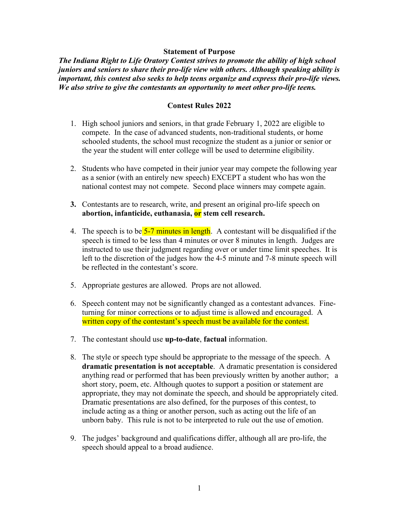Statement of Purpose<br>ry Contest strives to promote the ability of high school<br>r pro-life view with others. Although speaking ability is<br>to help teens organize and express their pro-life views.<br>ants an opportunity to meet o Statement of Purpose<br>The Indiana Right to Life Oratory Contest strives to promote the ability of high school<br>juniors and seniors to share their pro-life view with others. Although speaking ability is<br>important, this contes Statement of Purpose<br>The Indiana Right to Life Oratory Contest strives to promote the ability of high school<br>juniors and seniors to share their pro-life view with others. Although speaking ability is<br>important, this contes Statement of Purpose<br>
Statement of Purpose<br>
The Indiana Right to Life Oratory Contest strives to promote the ability of high school<br>
juniors and seniors to share their pro-life view with others. Although speaking ability i Statement of Purpose<br>
Statement of Purpose<br>
Juniors and seniors to share their pro-life view with others. Although speaking ability is<br>
important, this contest also seeks to help teens organize and express their pro-life v tatement of Purpose<br>
v Contest strives to promote the ability of high school<br>
pro-life view with others. Although speaking ability is<br>
o help teens organize and express their pro-life views.<br>
this an opportunity to meet ot Statement of Purpose<br>
Statement of Purpose<br>
Statement of the doming of high school<br>
or and seniors to share their pro-life view with others. Although speaking ability is<br>
ortant, this contest also seeks to help teens organ Statement of Purpose<br>
Statement of Purpose<br>
Statement of Purpose<br>
and seniors to share their pro-life view with others. Although speaking ability is<br>
int, this contest also seeks to help teens organize and express their pr Statement of Purpose<br>
schooled and seniors to share their pro-life view with others. Although speaking ability is<br>
int, this contest also seeks to help tenso reganize and express their pro-life views.<br>
strive to give the c Statement of Purpose<br>
Statement of Purpose<br>
idiana Right to Life Ordary Contest strives to promote the ability of high school<br>
and seniors to share their pro-life view with others. Although speaking ability is<br>
ont; this **2.** Students who solve the during the statement of Purpose<br>
2. Indicate their pro-life view with others. Atthough speaking ability is<br>
ordent, this contest also seeks to help teens organize and express their pro-life vie **Statement of Purpose**<br> **Statement of Purpose**<br> **Contains and Seniory Contest strives to promote the ability of high school**<br> **Contest also seeks to help teens organize and express their pro-life views.**<br> **Contest Rules 2** Statement of Purpose<br>
Statement of Purpose<br>
and seniors to share their pro-life view with others. Although speaking ability is<br>
ont, this contest also seeks to help teens organize and express their pro-life views.<br>
So stri **Exament of Purpose**<br> **Statement of Purpose**<br> **Statement of Purpose**<br> **Statement, this contest arises to promote the ability of high school<br>
orders are their pro-life view with others. Although speaking ability is<br>
also s Statement of Purpose**<br> **Statement of Purpose**<br> **Statement of Purpose**<br> **Statement State and State Extricts to promote the ability of high school**<br> **and seniors to share their pro-life view with others. Although speaking** 

- 
- 
- 
- A contest may be the speech is to be speeched in the speeched in the speeched in the speeched in the speeched in the speeched in the speeched in the speeched in this contest also seeks to help teens organize and express t and the total state with the speech is the speech is the speech is the speech in this contest also seeks to help teens organize and express their pro-life views.<br>
So strive to give the contestants an opportunity to meet o in the contestants and one of the contestants and opportunity to meet other pro-life teens.<br>
Contest Rules 2022<br>
High school juniors and seniors, in that grade February 1, 2022 are eligible to<br>
compete. In the case of adv **CONDET CONDET CONDETERT** CONDETERT THE STEP TO THE STEP THE STEP THAND IN A STEP THAND IN SURFACT THE INTERET IS (SURFACT THE STEP IN THE CONDENSEL IS A CHARGED SURFACT THE STEP OF THE STEP OF THE STEP OF THE STEP OF THE **Contest Rules 2022**<br> **Example 1.1** Explore and seniors, in that grade February 1, 2022 are eligible to<br>
compete. In the case of advanced students, non-traditional students, or home<br>
schooled students, the school must rec 1. High school juniors and seniors, in that grade February 1, 2022 are eligible to comptet. In the case of advanced students, non-traditional students, or home schooled students, the school must recognize the student as a solution the user of the matter may not variant solution and content as a junior or senior or<br>the year the student will enter college will be used to determine eligibility.<br>2. Students who have competed in their junior ye the year the student will enter college will be used to determine eligibility.<br>Students who have competed in their junior year may compete the following year<br>as a senior (with an entirely new speech) EXCEPT a student who Examples are stated with a method of their junior year and content and solve the following year<br>Statestants who have competed in their junior year may compete the following year<br>as a senior (with an entirely new speech) E 2. Solutions who accoupted in due 1 paints year and place to content the base would be as a senior (with an entirely new speech) EXCEPT a student who has won the national contest may not compete. Second place winners may
- 
- 
- 
- 3. Contestant surface the research, write, and present an original pro-life speech on abortion, infranticide, euthanasia, or stem and research.<br>4. The speech is to be  $5-7$  minutes in length. A contestant will be disquali Contestants are to research, write, and present an original pro-life speech on<br>**abortion, infanticide, euthanasia,**  $\overrightarrow{or}$  **stem cell research.**<br>The speech is to be  $5-7$  minutes in length. A contestant will be disqualifi **EXECUTE THE SECT THE SECT THE SECT THE SECT THE SECT THAT THE SECT THAT THE SPECT OF THE SPECT OR THE SPECT OR DESCRIPTION THE SPECT OR DESCRIPTION OR BET INCREDITED THE SPECT OR DESCRIPTION (FOR SECT AUTHOL THE SPECT OF** shortom, minimization is not exact and the specifical of the speech is to the sixter story. This precise in stream with be disseparable and the speech is the duots that where the interest of the section of the judges how The speech is to be **5-7 minutes in length**. A contestant will be disqualified if the speech is timed to be less than 4 minutes or over 8 minutes in length. Judges are instructed to use their judgenter regarding over or u From the style or special to the purpose of the purpose in the state of the purpose of the discrete of the discrete of the judges are instructed to use their judges how the 4-5 minutes and 7-8 minute speech will be reflec instructed to use their judgment regarding over or under time limit specehes. It is<br>instructed to use their judgment regarding over or under time limit specehes. It is<br>be reflected in the contestant's score.<br>Appropriate ge manuate to the discretion of the judges how the 4-5 minute and 7-8 minute speech will<br>be the discretion of the judges how the 4-5 minute and 7-8 minute speech will<br>be reflected in the contestant's score.<br>Appropriate gestur be the state of the significantly changed as a contestant advances. Find the significantly changed as a contestant advances. Find the primity for minor corrections or to adjust time is allowed and encouraged. A written co Appropriate gestures are allowed. Props are not allowed.<br>Speech content may not be significantly changed as a contestant advances. Finc-<br>turning for minor corrections or to adjust time is allowed and encouraged. A<br>**written**
-